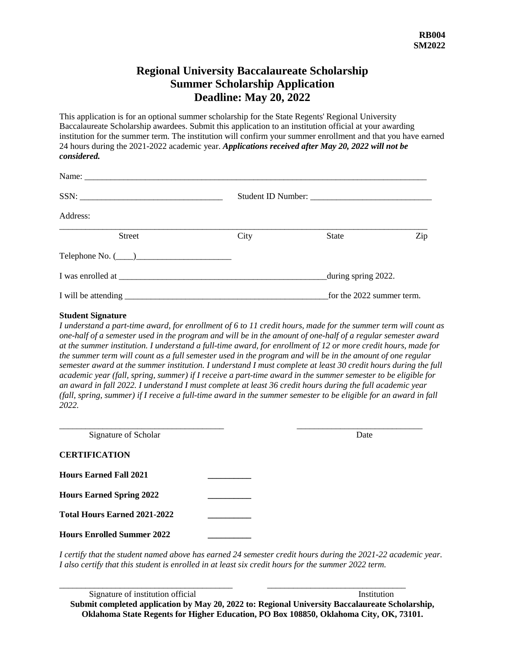## **Regional University Baccalaureate Scholarship Summer Scholarship Application Deadline: May 20, 2022**

This application is for an optional summer scholarship for the State Regents' Regional University Baccalaureate Scholarship awardees. Submit this application to an institution official at your awarding institution for the summer term. The institution will confirm your summer enrollment and that you have earned 24 hours during the 2021-2022 academic year. *Applications received after May 20, 2022 will not be considered.*

| Address:               |      |                           |     |  |
|------------------------|------|---------------------------|-----|--|
| <b>Street</b>          | City | <b>State</b>              | Zip |  |
| Telephone No. $(\_\_)$ |      |                           |     |  |
|                        |      | during spring 2022.       |     |  |
|                        |      | for the 2022 summer term. |     |  |

#### **Student Signature**

*I understand a part-time award, for enrollment of 6 to 11 credit hours, made for the summer term will count as one-half of a semester used in the program and will be in the amount of one-half of a regular semester award at the summer institution. I understand a full-time award, for enrollment of 12 or more credit hours, made for the summer term will count as a full semester used in the program and will be in the amount of one regular semester award at the summer institution. I understand I must complete at least 30 credit hours during the full academic year (fall, spring, summer) if I receive a part-time award in the summer semester to be eligible for an award in fall 2022. I understand I must complete at least 36 credit hours during the full academic year (fall, spring, summer) if I receive a full-time award in the summer semester to be eligible for an award in fall 2022.* 

| Signature of Scholar                | Date |  |
|-------------------------------------|------|--|
| <b>CERTIFICATION</b>                |      |  |
| <b>Hours Earned Fall 2021</b>       |      |  |
| <b>Hours Earned Spring 2022</b>     |      |  |
| <b>Total Hours Earned 2021-2022</b> |      |  |
| <b>Hours Enrolled Summer 2022</b>   |      |  |

*I certify that the student named above has earned 24 semester credit hours during the 2021-22 academic year. I also certify that this student is enrolled in at least six credit hours for the summer 2022 term.*

 $\Box$ 

Signature of institution official intervals and institution in the Institution of institution in the Institution **Submit completed application by May 20, 2022 to: Regional University Baccalaureate Scholarship, Oklahoma State Regents for Higher Education, PO Box 108850, Oklahoma City, OK, 73101.**